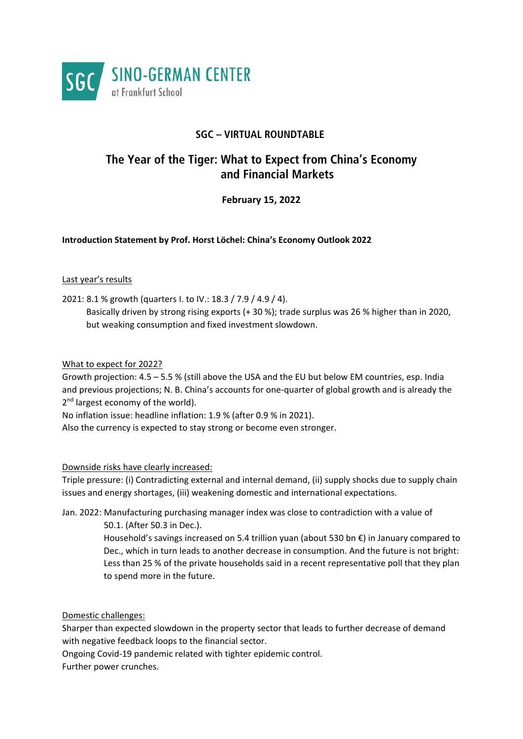

## **SGC – VIRTUAL ROUNDTABLE**

# **The Year of the Tiger: What to Expect from China's Economy and Financial Markets**

### **February 15, 2022**

**Introduction Statement by Prof. Horst Löchel: China's Economy Outlook 2022** 

#### Last year's results

2021: 8.1 % growth (quarters I. to IV.: 18.3 / 7.9 / 4.9 / 4).

 Basically driven by strong rising exports (+ 30 %); trade surplus was 26 % higher than in 2020, but weaking consumption and fixed investment slowdown.

#### What to expect for 2022?

Growth projection: 4.5 – 5.5 % (still above the USA and the EU but below EM countries, esp. India and previous projections; N. B. China's accounts for one-quarter of global growth and is already the 2<sup>nd</sup> largest economy of the world).

No inflation issue: headline inflation: 1.9 % (after 0.9 % in 2021).

Also the currency is expected to stay strong or become even stronger.

#### Downside risks have clearly increased:

Triple pressure: (i) Contradicting external and internal demand, (ii) supply shocks due to supply chain issues and energy shortages, (iii) weakening domestic and international expectations.

Jan. 2022: Manufacturing purchasing manager index was close to contradiction with a value of 50.1. (After 50.3 in Dec.).

> Household's savings increased on 5.4 trillion yuan (about 530 bn €) in January compared to Dec., which in turn leads to another decrease in consumption. And the future is not bright: Less than 25 % of the private households said in a recent representative poll that they plan to spend more in the future.

#### Domestic challenges:

Sharper than expected slowdown in the property sector that leads to further decrease of demand with negative feedback loops to the financial sector.

Ongoing Covid‐19 pandemic related with tighter epidemic control.

Further power crunches.